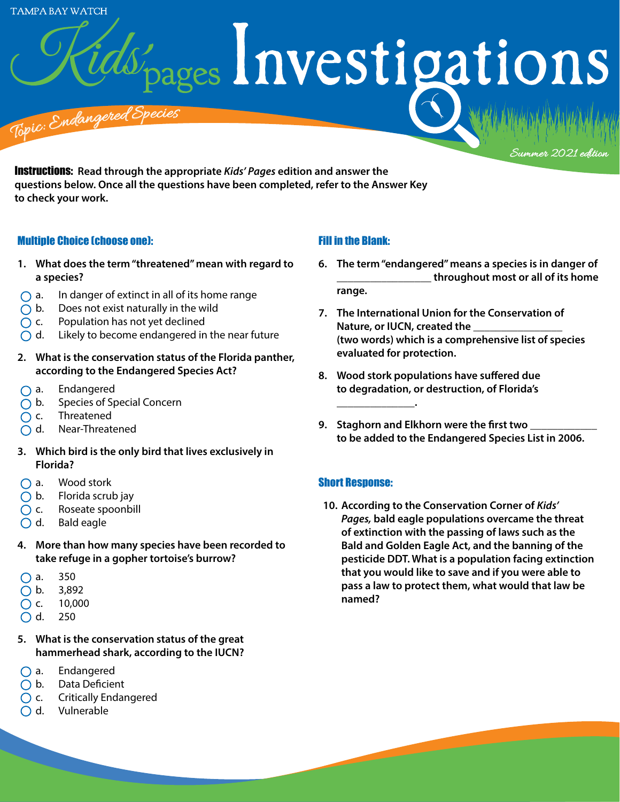**TAMPA BAY WATCH** 

ages Investigations

<sup>T</sup>op<sup>i</sup>c: <sup>E</sup>nda<sup>n</sup>g<sup>e</sup>re<sup>d</sup> <sup>S</sup>pecie<sup>s</sup> : Endanger

Instructions: **Read through the appropriate** *Kids' Pages* **edition and answer the questions below. Once all the questions have been completed, refer to the Answer Key to check your work.** 

#### Multiple Choice (choose one):

- **1. What does the term "threatened" mean with regard to a species?**
- $\bigcap$  a. In danger of extinct in all of its home range
- $\bigcap$  b. Does not exist naturally in the wild
- $\bigcirc$  c. Population has not yet declined
- $\bigcirc$  d. Likely to become endangered in the near future
- **2. What is the conservation status of the Florida panther, according to the Endangered Species Act?**
- a. Endangered
- $\bigcap$  b. Species of Special Concern
- C. Threatened
- d. Near-Threatened
- **3. Which bird is the only bird that lives exclusively in Florida?**
- $\bigcap$  a. Wood stork
- $\bigcirc$  b. Florida scrub jay
- $\bigcirc$  c. Roseate spoonbill
- $\bigcirc$  d. Bald eagle
- **4. More than how many species have been recorded to take refuge in a gopher tortoise's burrow?**
- $\bigcap$  a. 350
- b. 3,892
- $C. 10,000$
- $\bigcirc$  d. 250
- **5. What is the conservation status of the great hammerhead shark, according to the IUCN?**
- $\bigcap$  a. Endangered
- $\bigcap$  b. Data Deficient
- $\bigcap$  c. Critically Endangered
- $\bigcap$  d. Vulnerable

## Fill in the Blank:

**6. The term "endangered" means a species is in danger of \_\_\_\_\_\_\_\_\_\_\_\_\_\_\_\_\_ throughout most or all of its home range.**

Summer 2021 edition

- **7. The International Union for the Conservation of Nature, or IUCN, created the \_\_\_\_\_\_\_\_\_\_\_\_\_\_\_\_ (two words) which is a comprehensive list of species evaluated for protection.**
- **8. Wood stork populations have suffered due to degradation, or destruction, of Florida's**
- **9. Staghorn and Elkhorn were the first two \_\_\_\_\_\_\_\_\_\_\_\_ to be added to the Endangered Species List in 2006.**

### Short Response:

**\_\_\_\_\_\_\_\_\_\_\_\_\_\_.**

**10. According to the Conservation Corner of** *Kids' Pages,* **bald eagle populations overcame the threat of extinction with the passing of laws such as the Bald and Golden Eagle Act, and the banning of the pesticide DDT. What is a population facing extinction that you would like to save and if you were able to pass a law to protect them, what would that law be named?**